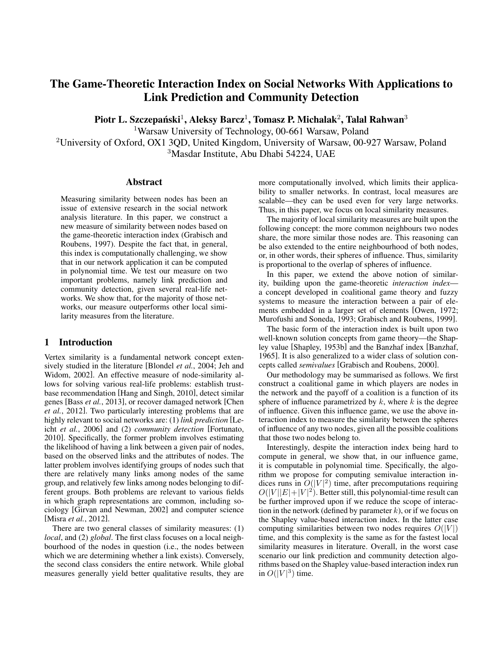# The Game-Theoretic Interaction Index on Social Networks With Applications to Link Prediction and Community Detection

Piotr L. Szczepański $^1$ , Aleksy Barcz $^1$ , Tomasz P. Michalak $^2$ , Talal Rahwan $^3$ 

<sup>1</sup>Warsaw University of Technology, 00-661 Warsaw, Poland

<sup>2</sup>University of Oxford, OX1 3QD, United Kingdom, University of Warsaw, 00-927 Warsaw, Poland <sup>3</sup>Masdar Institute, Abu Dhabi 54224, UAE

## Abstract

Measuring similarity between nodes has been an issue of extensive research in the social network analysis literature. In this paper, we construct a new measure of similarity between nodes based on the game-theoretic interaction index (Grabisch and Roubens, 1997). Despite the fact that, in general, this index is computationally challenging, we show that in our network application it can be computed in polynomial time. We test our measure on two important problems, namely link prediction and community detection, given several real-life networks. We show that, for the majority of those networks, our measure outperforms other local similarity measures from the literature.

# 1 Introduction

Vertex similarity is a fundamental network concept extensively studied in the literature [Blondel *et al.*, 2004; Jeh and Widom, 2002]. An effective measure of node-similarity allows for solving various real-life problems: establish trustbase recommendation [Hang and Singh, 2010], detect similar genes [Bass *et al.*, 2013], or recover damaged network [Chen *et al.*, 2012]. Two particularly interesting problems that are highly relevant to social networks are: (1) *link prediction* [Leicht *et al.*, 2006] and (2) *community detection* [Fortunato, 2010]. Specifically, the former problem involves estimating the likelihood of having a link between a given pair of nodes, based on the observed links and the attributes of nodes. The latter problem involves identifying groups of nodes such that there are relatively many links among nodes of the same group, and relatively few links among nodes belonging to different groups. Both problems are relevant to various fields in which graph representations are common, including sociology [Girvan and Newman, 2002] and computer science [Misra *et al.*, 2012].

There are two general classes of similarity measures: (1) *local*, and (2) *global*. The first class focuses on a local neighbourhood of the nodes in question (i.e., the nodes between which we are determining whether a link exists). Conversely, the second class considers the entire network. While global measures generally yield better qualitative results, they are more computationally involved, which limits their applicability to smaller networks. In contrast, local measures are scalable—they can be used even for very large networks. Thus, in this paper, we focus on local similarity measures.

The majority of local similarity measures are built upon the following concept: the more common neighbours two nodes share, the more similar those nodes are. This reasoning can be also extended to the entire neighbourhood of both nodes, or, in other words, their spheres of influence. Thus, similarity is proportional to the overlap of spheres of influence.

In this paper, we extend the above notion of similarity, building upon the game-theoretic *interaction index* a concept developed in coalitional game theory and fuzzy systems to measure the interaction between a pair of elements embedded in a larger set of elements [Owen, 1972; Murofushi and Soneda, 1993; Grabisch and Roubens, 1999].

The basic form of the interaction index is built upon two well-known solution concepts from game theory—the Shapley value [Shapley, 1953b] and the Banzhaf index [Banzhaf, 1965]. It is also generalized to a wider class of solution concepts called *semivalues* [Grabisch and Roubens, 2000].

Our methodology may be summarised as follows. We first construct a coalitional game in which players are nodes in the network and the payoff of a coalition is a function of its sphere of influence parametrized by  $k$ , where  $k$  is the degree of influence. Given this influence game, we use the above interaction index to measure the similarity between the spheres of influence of any two nodes, given all the possible coalitions that those two nodes belong to.

Interestingly, despite the interaction index being hard to compute in general, we show that, in our influence game, it is computable in polynomial time. Specifically, the algorithm we propose for computing semivalue interaction indices runs in  $O(|V|^2)$  time, after precomputations requiring  $O(|V||E|+|V|^2)$ . Better still, this polynomial-time result can be further improved upon if we reduce the scope of interaction in the network (defined by parameter  $k$ ), or if we focus on the Shapley value-based interaction index. In the latter case computing similarities between two nodes requires  $O(|V|)$ time, and this complexity is the same as for the fastest local similarity measures in literature. Overall, in the worst case scenario our link prediction and community detection algorithms based on the Shapley value-based interaction index run in  $O(|V|^3)$  time.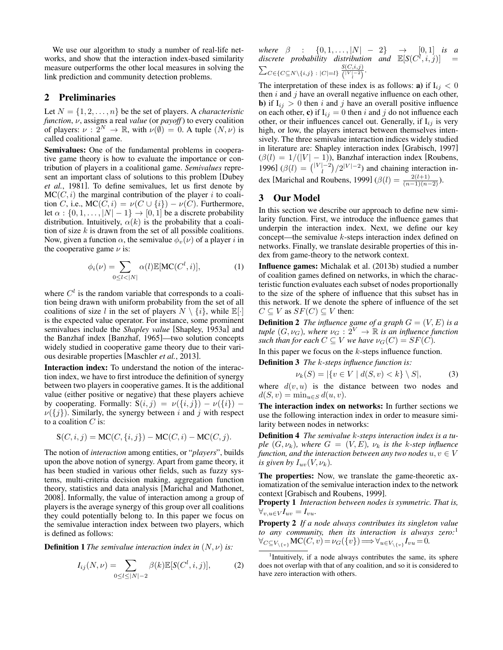We use our algorithm to study a number of real-life networks, and show that the interaction index-based similarity measure outperforms the other local measures in solving the link prediction and community detection problems.

# 2 Preliminaries

Let  $N = \{1, 2, \ldots, n\}$  be the set of players. A *characteristic function*, ν, assigns a real *value* (or *payoff*) to every coalition of players:  $\nu : 2^N \to \mathbb{R}$ , with  $\nu(\emptyset) = 0$ . A tuple  $(N, \nu)$  is called coalitional game.

Semivalues: One of the fundamental problems in cooperative game theory is how to evaluate the importance or contribution of players in a coalitional game. *Semivalues* represent an important class of solutions to this problem [Dubey *et al.*, 1981]. To define semivalues, let us first denote by  $MC(C, i)$  the marginal contribution of the player i to coalition C, i.e.,  $MC(C, i) = \nu(C \cup \{i\}) - \nu(C)$ . Furthermore, let  $\alpha$  :  $\{0, 1, \ldots, |N|-1\} \rightarrow [0, 1]$  be a discrete probability distribution. Intuitively,  $\alpha(k)$  is the probability that a coalition of size  $k$  is drawn from the set of all possible coalitions. Now, given a function  $\alpha$ , the semivalue  $\phi_v(\nu)$  of a player i in the cooperative game  $\nu$  is:

$$
\phi_i(\nu) = \sum_{0 \le l < |N|} \alpha(l) \mathbb{E}[\text{MC}(C^l, i)],\tag{1}
$$

where  $C<sup>l</sup>$  is the random variable that corresponds to a coalition being drawn with uniform probability from the set of all coalitions of size l in the set of players  $N \setminus \{i\}$ , while  $\mathbb{E}[\cdot]$ is the expected value operator. For instance, some prominent semivalues include the *Shapley value* [Shapley, 1953a] and the Banzhaf index [Banzhaf, 1965]—two solution concepts widely studied in cooperative game theory due to their various desirable properties [Maschler *et al.*, 2013].

Interaction index: To understand the notion of the interaction index, we have to first introduce the definition of synergy between two players in cooperative games. It is the additional value (either positive or negative) that these players achieve by cooperating. Formally:  $S(i, j) = \nu({i, j}) - \nu({i})$  $\nu({j})$ . Similarly, the synergy between i and j with respect to a coalition  $C$  is:

$$
S(C, i, j) = MC(C, \{i, j\}) - MC(C, i) - MC(C, j).
$$

The notion of *interaction* among entities, or "*players*", builds upon the above notion of synergy. Apart from game theory, it has been studied in various other fields, such as fuzzy systems, multi-criteria decision making, aggregation function theory, statistics and data analysis [Marichal and Mathonet, 2008]. Informally, the value of interaction among a group of players is the average synergy of this group over all coalitions they could potentially belong to. In this paper we focus on the semivalue interaction index between two players, which is defined as follows:

**Definition 1** *The semivalue interaction index in*  $(N, \nu)$  *is:* 

$$
I_{ij}(N,\nu) = \sum_{0 \le l \le |N|-2} \beta(k) \mathbb{E}[S(C^l, i, j)],
$$
 (2)

*where*  $\beta$  : {0, 1, ..., |N| – 2}  $\rightarrow$  [0, 1] *is a* discrete probability distribution and  $\mathbb{E}[S(C^l,i,j)] =$  $\sum_{C \in \{C \subseteq N \setminus \{i,j\} \ : \ |C| = l\}} \frac{S(C,i,j)}{l^{|V|-2}}$  $\frac{S(C, i, j)}{\binom{|V| - 2}{i}}$ .

The interpretation of these index is as follows: **a**) if  $I_{ij} < 0$ then  $i$  and  $j$  have an overall negative influence on each other, **b**) if  $I_{ij} > 0$  then i and j have an overall positive influence on each other, c) if  $I_{ij} = 0$  then i and j do not influence each other, or their influences cancel out. Generally, if  $I_{ij}$  is very high, or low, the players interact between themselves intensively. The three semivalue interaction indices widely studied in literature are: Shapley interaction index [Grabisch, 1997]  $(\beta(l) = 1/(|V| - 1))$ , Banzhaf interaction index [Roubens, 1996]  $(\beta(l) = \binom{|V| - 2}{l} / 2^{|V| - 2}$  and chaining interaction index [Marichal and Roubens, 1999]  $(\beta(l) = \frac{2(l+1)}{(n-1)(n-2)})$ .

# 3 Our Model

In this section we describe our approach to define new similarity function. First, we introduce the influence games that underpin the interaction index. Next, we define our key concept—the semivalue k-steps interaction index defined on networks. Finally, we translate desirable properties of this index from game-theory to the network context.

Influence games: Michalak et al. (2013b) studied a number of coalition games defined on networks, in which the characteristic function evaluates each subset of nodes proportionally to the size of the sphere of influence that this subset has in this network. If we denote the sphere of influence of the set  $C \subseteq V$  as  $SF(C) \subseteq V$  then:

**Definition 2** *The influence game of a graph*  $G = (V, E)$  *is a tuple*  $(G, \nu_G)$ , where  $\nu_G : 2^V \to \mathbb{R}$  *is an influence function such than for each*  $C \subseteq V$  *we have*  $\nu_G(C) = SF(C)$ *.* 

In this paper we focus on the k-steps influence function.

Definition 3 *The* k*-steps influence function is:*

$$
\nu_k(S) = |\{v \in V \mid d(S, v) < k\} \setminus S|,\tag{3}
$$

where  $d(v, u)$  is the distance between two nodes and  $d(S, v) = \min_{u \in S} d(u, v).$ 

The interaction index on networks: In further sections we use the following interaction index in order to measure similarity between nodes in networks:

Definition 4 *The semivalue* k*-steps interaction index is a tuple*  $(G, \nu_k)$ *, where*  $G = (V, E)$ *,*  $\nu_k$  *is the k-step influence function, and the interaction between any two nodes*  $u, v \in V$ *is given by*  $I_{uv}(V, \nu_k)$ .

The properties: Now, we translate the game-theoretic axiomatization of the semivalue interaction index to the network context [Grabisch and Roubens, 1999].

Property 1 *Interaction between nodes is symmetric. That is,*  $\forall_{v,u\in V} I_{uv} = I_{vu}.$ 

Property 2 *If a node always contributes its singleton value to any community, then its interaction is always zero:*<sup>1</sup>  $\forall_{C \subseteq V_{\setminus \{v\}}} \mathbf{MC}(C, v) = \nu_G(\{v\}) \Longrightarrow \forall_{u \in V_{\setminus \{v\}}} I_{vu} = 0.$ 

<sup>1</sup>Intuitively, if a node always contributes the same, its sphere does not overlap with that of any coalition, and so it is considered to have zero interaction with others.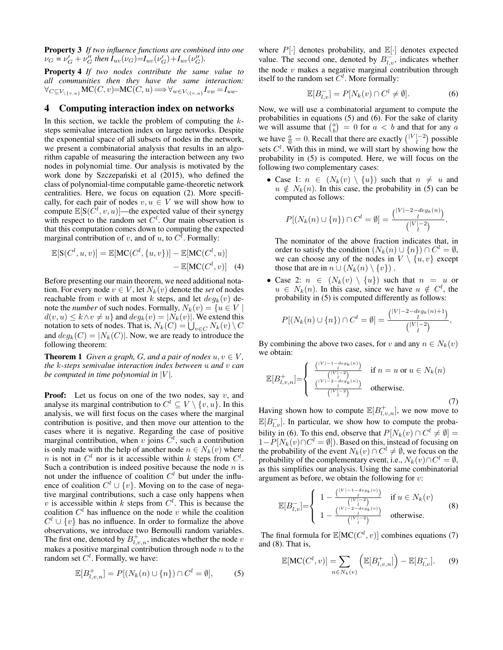Property 3 *If two influence functions are combined into one*  $\nu_G = \nu_G' + \nu_G''$  then  $I_{uv}(\nu_G) = I_{uv}(\nu_G') + I_{uv}(\nu_G'')$ .

Property 4 *If two nodes contribute the same value to all communities then they have the same interaction:*  $\forall_{C \subseteq V_{\setminus \{v,u\}}} \mathsf{MC}(C,v) = \mathsf{MC}(C,u) \Longrightarrow \forall_{w \in V_{\setminus \{v,u\}}} I_{vw} = I_{uw}.$ 

# 4 Computing interaction index on networks

In this section, we tackle the problem of computing the  $k$ steps semivalue interaction index on large networks. Despite the exponential space of all subsets of nodes in the network, we present a combinatorial analysis that results in an algorithm capable of measuring the interaction between any two nodes in polynomial time. Our analysis is motivated by the work done by Szczepański et al (2015), who defined the class of polynomial-time computable game-theoretic network centralities. Here, we focus on equation (2). More specifically, for each pair of nodes  $v, u \in V$  we will show how to compute  $\mathbb{E}[S(\tilde{C}^l, v, u)]$ —the expected value of their synergy with respect to the random set  $C^l$ . Our main observation is that this computation comes down to computing the expected marginal contribution of v, and of u, to  $C^l$ . Formally:

$$
\mathbb{E}[S(C^l, u, v)] = \mathbb{E}[MC(C^l, \{u, v\})] - \mathbb{E}[MC(C^l, u)]
$$
  
- 
$$
\mathbb{E}[MC(C^l, v)] \quad (4)
$$

Before presenting our main theorem, we need additional notation. For every node  $v \in V$ , let  $N_k(v)$  denote the *set* of nodes reachable from v with at most k steps, and let  $deg_k(v)$  denote the *number* of such nodes. Formally,  $N_k(v) = \{u \in V \mid$  $d(v, u) \leq k \wedge v \neq u$  and  $deg_k(v) = |N_k(v)|$ . We extend this notation to sets of nodes. That is,  $N_k(C) = \bigcup_{v \in C} N_k(v) \setminus C$ and  $deg_k(C) = |N_k(C)|$ . Now, we are ready to introduce the following theorem:

**Theorem 1** *Given a graph, G, and a pair of nodes*  $u, v \in V$ *, the* k*-steps semivalue interaction index between* u *and* v *can be computed in time polynomial in*  $|V|$ *.* 

**Proof:** Let us focus on one of the two nodes, say  $v$ , and analyse its marginal contribution to  $C^l \subseteq V \setminus \{v, u\}$ . In this analysis, we will first focus on the cases where the marginal contribution is positive, and then move our attention to the cases where it is negative. Regarding the case of positive marginal contribution, when v joins  $C^l$ , such a contribution is only made with the help of another node  $n \in N_k(v)$  where *n* is not in  $C^l$  nor is it accessible within k steps from  $C^l$ . Such a contribution is indeed positive because the node  $n$  is not under the influence of coalition  $C<sup>l</sup>$  but under the influence of coalition  $C^l \cup \{v\}$ . Moving on to the case of negative marginal contributions, such a case only happens when v is accessible within k steps from  $C^l$ . This is because the coalition  $C<sup>l</sup>$  has influence on the node v while the coalition  $C<sup>l</sup> \cup \{v\}$  has no influence. In order to formalize the above observations, we introduce two Bernoulli random variables. The first one, denoted by  $B^+_{l,v,n}$ , indicates whether the node v makes a positive marginal contribution through node  $n$  to the random set  $C^l$ . Formally, we have:

$$
\mathbb{E}[B_{l,v,n}^+] = P[(N_k(n) \cup \{n\}) \cap C^l = \emptyset],\tag{5}
$$

where  $P[\cdot]$  denotes probability, and  $\mathbb{E}[\cdot]$  denotes expected value. The second one, denoted by  $B_{l,v}^-$ , indicates whether the node  $v$  makes a negative marginal contribution through itself to the random set  $C^l$ . More formally:

$$
\mathbb{E}[B_{l,v}^-] = P[N_k(v) \cap C^l \neq \emptyset].\tag{6}
$$

Now, we will use a combinatorial argument to compute the probabilities in equations (5) and (6). For the sake of clarity we will assume that  $\binom{a}{b} = 0$  for  $a < b$  and that for any a we have  $\frac{a}{0} = 0$ . Recall that there are exactly  $\binom{|V| - 2}{l}$  possible sets  $C<sup>l</sup>$ . With this in mind, we will start by showing how the probability in (5) is computed. Here, we will focus on the following two complementary cases:

• Case 1:  $n \in (N_k(v) \setminus \{u\})$  such that  $n \neq u$  and  $u \notin N_k(n)$ . In this case, the probability in (5) can be computed as follows:

$$
P[(N_k(n) \cup \{n\}) \cap C^l = \emptyset] = \frac{\binom{|V| - 2 - \deg_k(n)}{l}}{\binom{|V| - 2}{l}}.
$$

The nominator of the above fraction indicates that, in order to satisfy the condition  $(N_k(n) \cup \{n\}) \cap C^l = \emptyset$ , we can choose any of the nodes in  $V \setminus \{u, v\}$  except those that are in  $n \cup (N_k(n) \setminus \{v\})$ .

• Case 2:  $n \in (N_k(v) \setminus \{u\})$  such that  $n = u$  or  $u \in N_k(n)$ . In this case, since we have  $u \notin C^l$ , the probability in (5) is computed differently as follows:

$$
P[(N_k(n) \cup \{n\}) \cap C^l = \emptyset] = \frac{\binom{|V| - 2 - deg_k(n) + 1}{l}}{\binom{|V| - 2}{l}},
$$

By combining the above two cases, for v and any  $n \in N_k(v)$ we obtain:

$$
\mathbb{E}[B_{l,v,n}^{+}]=\begin{cases} \frac{\binom{|V|-1-deg_k(n)}{l}}{\binom{|V|-2}{l}} & \text{if } n=u \text{ or } u \in N_k(n) \\ \frac{\binom{|V|-2-deg_k(n)}{l}}{\binom{|V|-2}{l}} & \text{otherwise.} \end{cases}
$$
 (7)

Having shown how to compute  $\mathbb{E}[B^+_{l,v,n}]$ , we now move to  $\mathbb{E}[B_{l,v}^{-}]$ . In particular, we show how to compute the probability in (6). To this end, observe that  $P[N_k(v) \cap C^l \neq \emptyset] =$  $1-P[N_k(v)\cap C^l = \emptyset]$ ). Based on this, instead of focusing on the probability of the event  $N_k(v) \cap C^l \neq \emptyset$ , we focus on the probability of the complementary event, i.e.,  $N_k(v) \cap C^l = \emptyset$ , as this simplifies our analysis. Using the same combinatorial argument as before, we obtain the following for  $v$ :

$$
\mathbb{E}[B_{l,v}^-] = \begin{cases} 1 - \frac{\binom{|V| - 1 - \deg_k(v)}{l}}{\binom{|V| - 2}{\deg_k(v)}} & \text{if } u \in N_k(v) \\ 1 - \frac{\binom{|V| - 2 - \deg_k(v)}{l}}{\binom{|V| - 2}{l}} & \text{otherwise.} \end{cases} \tag{8}
$$

The final formula for  $\mathbb{E}[MC(C^l, v)]$  combines equations (7) and (8). That is,

$$
\mathbb{E}[\mathrm{MC}(C^l, v)] = \sum_{n \in N_k(v)} \left( \mathbb{E}[B_{l, v, n}^+] \right) - \mathbb{E}[B_{l, v}^-]. \tag{9}
$$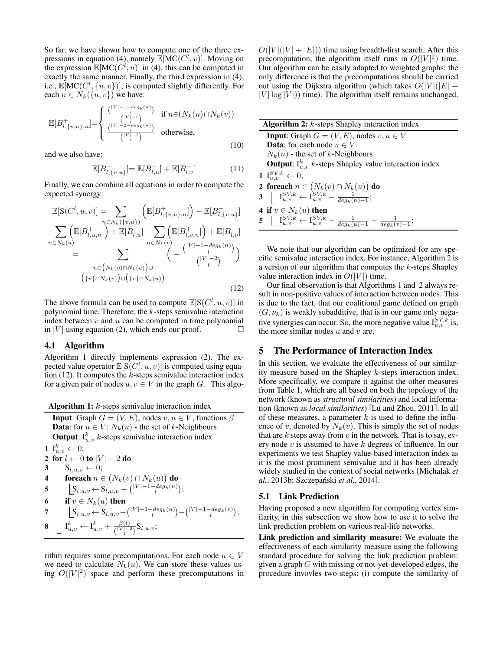So far, we have shown how to compute one of the three expressions in equation (4), namely  $\mathbb{E}[MC(C^l, v)]$ . Moving on the expression  $\mathbb{E}[MC(C^l, u)]$  in (4), this can be computed in exactly the same manner. Finally, the third expression in (4), i.e.,  $\mathbb{E}[MC(C^l, \{u, v\})]$ , is computed slightly differently. For each  $n \in N_k({u, v})$  we have:

$$
\mathbb{E}[B_{l,\{v,u\},n}^{+}] = \begin{cases} \frac{\binom{|V|-1-deg_k(n)}{l}}{\binom{|V|-2}{l}} & \text{if } n \in (N_k(u) \cap N_k(v))\\ \frac{\binom{|V|-2-deg_k(n)}{l}}{\binom{|V|-2}{l}} & \text{otherwise,} \end{cases}
$$
(10)

and we also have:

$$
\mathbb{E}[B_{l,\{v,u\}}^-] = \mathbb{E}[B_{l,u}^-] + \mathbb{E}[B_{l,v}^-]
$$
\n(11)

Finally, we can combine all equations in order to compute the expected synergy:

$$
\mathbb{E}[S(C^l, u, v)] = \sum_{\substack{n \in N_k(\{v, u\}) \\ n \in N_k(u)}} \left( \mathbb{E}[B^+_{l, \{v, u\}, n}] \right) - \mathbb{E}[B^-_{l, \{v, u\}}] \n- \sum_{n \in N_k(u)} \left( \mathbb{E}[B^+_{l, u, n}] \right) + \mathbb{E}[B^-_{l, u}] - \sum_{n \in N_k(v)} \left( \mathbb{E}[B^+_{l, v, n}] \right) + \mathbb{E}[B^-_{l, v}] \n= \sum_{\substack{n \in (N_k(v) \cap N_k(u)) \\ \{u\} \cap N_k(v) \cup (\{v\} \cap N_k(u))}} \left( - \frac{\binom{|V| - 1 - deg_k(n)}{l}}{\binom{|V| - 2}{l}} \right)
$$
\n(12)

The above formula can be used to compute  $\mathbb{E}[S(C^l, u, v)]$  in polynomial time. Therefore, the k-steps semivalue interaction index between  $v$  and  $u$  can be computed in time polynomial in |V| using equation (2), which ends our proof.  $\Box$ 

#### 4.1 Algorithm

Algorithm 1 directly implements expression (2). The expected value operator  $\mathbb{E}[S(C^l, u, v)]$  is computed using equation (12). It computes the  $k$ -steps semivalue interaction index for a given pair of nodes  $u, v \in V$  in the graph G. This algo-

Algorithm 1:  $k$ -steps semivalue interaction index **Input:** Graph  $G = (V, E)$ , nodes  $v, u \in V$ , functions  $\beta$ **Data:** for  $u \in V$ :  $N_k(u)$  - the set of k-Neighbours **Output**:  $I_{u,v}^k$  k-steps semivalue interaction index  $1 \; {\rm I}^k_{u,v} \leftarrow 0;$ 2 for  $l \leftarrow 0$  to  $|V| - 2$  do 3 |  $S_{l,u,v} \leftarrow 0;$ 4 foreach  $n \in (N_k(v) \cap N_k(u))$  do  ${\sf 5} \quad \Big| \quad \Big| \text{S}_{l,u,v} \hspace{-0.8ex} \leftarrow \hspace{-0.8ex} \text{S}_{l,u,v} - \big( \begin{smallmatrix} |V|-1-deg_k(n) \ 0 \end{smallmatrix} \big);$ 6  $\quad$  if  $v \in N_k(u)$  then

 $\mathcal{T} \quad \Big| \quad \Big| \text{S}_{l,u,v} \hspace{-0.1cm} \leftarrow \hspace{-0.1cm} \text{S}_{l,u,v} \hspace{-0.1cm} - \hspace{-0.1cm} \binom{|V| - 1 - deg_k(u)}{l} \hspace{-0.1cm} - \hspace{-0.1cm} \binom{|V| - 1 - deg_k(v)}{l};$  $\mathbf{8} \begin{array}{|c|c|} \hline \mathbf{1}_{u,v}^k \leftarrow \mathrm{I}_{u,v}^k + \frac{\beta(l)}{|V| - 1} \hline \end{array}$  $\frac{\rho(t)}{\binom{|V| - 2}{l}} S_{l,u,v};$ 

rithm requires some precomputations. For each node  $u \in V$ we need to calculate  $N_k(u)$ . We can store these values using  $O(|V|^2)$  space and perform these precomputations in  $O(|V|(|V| + |E|))$  time using breadth-first search. After this precomputation, the algorithm itself runs in  $O(|V|^2)$  time. Our algorithm can be easily adapted to weighted graphs; the only difference is that the precomputations should be carried out using the Dijkstra algorithm (which takes  $O(|V|(|E| +$  $|V| \log |V|$ ) time). The algorithm itself remains unchanged.

| <b>Algorithm 2:</b> $k$ -steps Shapley interaction index                                                                                 |  |  |  |  |  |  |  |
|------------------------------------------------------------------------------------------------------------------------------------------|--|--|--|--|--|--|--|
| <b>Input:</b> Graph $G = (V, E)$ , nodes $v, u \in V$                                                                                    |  |  |  |  |  |  |  |
| <b>Data:</b> for each node $u \in V$ :                                                                                                   |  |  |  |  |  |  |  |
| $N_k(u)$ - the set of k-Neighbours                                                                                                       |  |  |  |  |  |  |  |
| <b>Output:</b> $I_{u,v}^k$ k-steps Shapley value interaction index                                                                       |  |  |  |  |  |  |  |
| 1 $I_{u,v}^{SV,k} \leftarrow 0;$                                                                                                         |  |  |  |  |  |  |  |
| 2 foreach $n \in (N_k(v) \cap N_k(u))$ do                                                                                                |  |  |  |  |  |  |  |
| 3 $\left  \mathbf{I}_{u,v}^{SV,k} \leftarrow \mathbf{I}_{u,v}^{SV,k} - \frac{1}{deq_k(n)-1};$                                            |  |  |  |  |  |  |  |
| 4 if $v \in N_k(u)$ then                                                                                                                 |  |  |  |  |  |  |  |
| ${\bf 5} \  \  \, \bigsqcup \  \, {\bf I}^{SV,k}_{u,v} \leftarrow {\bf I}^{SV,k}_{u,v} - \tfrac{1}{deg_k(u)-1} - \tfrac{1}{deg_k(v)-1};$ |  |  |  |  |  |  |  |

We note that our algorithm can be optimized for any specific semivalue interaction index. For instance, Algorithm 2 is a version of our algorithm that computes the k-steps Shapley value interaction index in  $O(|V|)$  time.

Our final observation is that Algorithms 1 and 2 always result in non-positive values of interaction between nodes. This is due to the fact, that our coalitional game defined on graph  $(G, \nu_k)$  is weakly subadditive, that is in our game only negative synergies can occur. So, the more negative value  $I_{u,v}^{SV,k}$  is, the more similar nodes  $u$  and  $v$  are.

# 5 The Performance of Interaction Index

In this section, we evaluate the effectiveness of our similarity measure based on the Shapley k-steps interaction index. More specifically, we compare it against the other measures from Table 1, which are all based on both the topology of the network (known as *structural similarities*) and local information (known as *local similarities*) [Lü and Zhou, 2011]. In all of these measures, a parameter  $k$  is used to define the influence of v, denoted by  $N_k(v)$ . This is simply the set of nodes that are k steps away from  $v$  in the network. That is to say, every node  $v$  is assumed to have  $k$  degrees of influence. In our experiments we test Shapley value-based interaction index as it is the most prominent semivalue and it has been already widely studied in the context of social networks [Michalak *et al.*, 2013b; Szczepański *et al.*, 2014].

## 5.1 Link Prediction

Having proposed a new algorithm for computing vertex similarity, in this subsection we show how to use it to solve the link prediction problem on various real-life networks.

Link prediction and similarity measure: We evaluate the effectiveness of each similarity measure using the following standard procedure for solving the link prediction problem: given a graph  $G$  with missing or not-yet-developed edges, the procedure invovles two steps: (i) compute the similarity of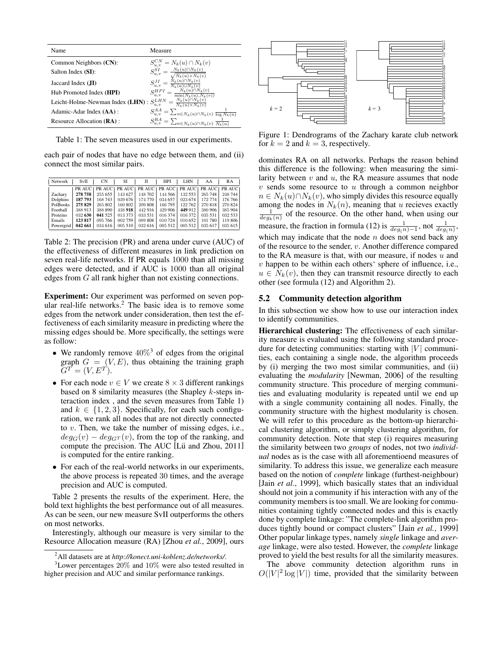| Name                              | Measure                                                                                                                                     |
|-----------------------------------|---------------------------------------------------------------------------------------------------------------------------------------------|
| Common Neighbors (CN):            | $S_{u,v}^{CN} = N_k(u) \cap N_k(v)$                                                                                                         |
| Salton Index (SI):                | $= \frac{N_k(u) \cap N_k(v)}{\sqrt{N_k(u) \times N_k(v)}}$<br>$S^{SI}_{u,v}$                                                                |
| Jaccard Index $(JI)$              | $N_k(u) \cap N_k(v)$<br>$S_{u,v}^{JI} =$<br>$\overline{N_k(u)\cup N_k(v)}$                                                                  |
| Hub Promoted Index (HPI)          | $N_k(u) \cap N_k(v)$<br>$S_{u,v}^{HPI}$<br>$\overline{\min(N_k(u),N_k(v))}$                                                                 |
| Leicht-Holme-Newman Index (LHN) : | $=\frac{N_k(u)\cap N_k(v)}{N_k(u)\times N_k(v)}$<br>$S^{LHN}_{u,v}$                                                                         |
| Adamic-Adar Index (AA) :          | $S_{u,v}^{AA} = \sum_{n \in N_k(u) \cap N_k(v)} \frac{1}{\log N_k(n)}$<br>$S_{u,v}^{RA} = \sum_{n \in N_k(u) \cap N_k(v)} \frac{1}{N_k(n)}$ |
| Resource Allocation (RA):         |                                                                                                                                             |

Table 1: The seven measures used in our experiments.

each pair of nodes that have no edge between them, and (ii) connect the most similar pairs.

| Network   | SvII    | <b>CN</b>                                               | SI      | Л       | <b>HPI</b> | <b>LHN</b> | AA      | RA      |
|-----------|---------|---------------------------------------------------------|---------|---------|------------|------------|---------|---------|
|           |         | PRAUCE PRAUCE PRAUCE PRAUCE PRAUCE PRAUCE PRAUCE PRAUCE |         |         |            |            |         |         |
| Zachary   | 278 758 | 255 655                                                 | 143 627 | 148 702 | 144 566    | 132 553    | 265 748 | 248 744 |
| Dolphins  | 187 793 | 168743                                                  | 039 676 | 174 770 | 034 657    | 023 674    | 172 774 | 176 766 |
| PolBooks  | 275829  | 265 802                                                 | 160 802 | 209 808 | 166 795    | 122 762    | 270 818 | 270 824 |
| Football  | 388 913 | 388 890                                                 | 438 918 | 442916  | 429 906    | 449 912    | 380 906 | 385 904 |
| Proteins  | 032 630 | 041 525                                                 | 013 373 | 033 531 | 016 374    | 016 372    | 035 531 | 032 533 |
| Emails    | 123817  | 095 766                                                 | 002 759 | 089 808 | 010 724    | 010 652    | 101 780 | 119 806 |
| Powergrid | 042 661 | 034616                                                  | 005 510 | 032 616 | 005 512    | 005 512    | 035 617 | 035615  |

Table 2: The precision (PR) and arena under curve (AUC) of the effectiveness of different measures in link prediction on seven real-life networks. If PR equals 1000 than all missing edges were detected, and if AUC is 1000 than all original edges from G all rank higher than not existing connections.

Experiment: Our experiment was performed on seven popular real-life networks.<sup>2</sup> The basic idea is to remove some edges from the network under consideration, then test the effectiveness of each similarity measure in predicting where the missing edges should be. More specifically, the settings were as follow:

- We randomly remove  $40\%$ <sup>3</sup> of edges from the original graph  $G = (V, E)$ , thus obtaining the training graph  $G^{T} = (V, E^{T}).$
- For each node  $v \in V$  we create  $8 \times 3$  different rankings based on 8 similarity measures (the Shapley k-steps interaction index , and the seven measures from Table 1) and  $k \in \{1, 2, 3\}$ . Specifically, for each such configuration, we rank all nodes that are not directly connected to v. Then, we take the number of missing edges, i.e.,  $deg_G(v) - deg_{G}(v)$ , from the top of the ranking, and compute the precision. The AUC  $[Lii \text{ and } Zhou, 2011]$ is computed for the entire ranking.
- For each of the real-world networks in our experiments, the above process is repeated 30 times, and the average precision and AUC is computed.

Table 2 presents the results of the experiment. Here, the bold text highlights the best performance out of all measures. As can be seen, our new measure SvII outperforms the others on most networks.

Interestingly, although our measure is very similar to the Resource Allocation measure (RA) [Zhou *et al.*, 2009], ours



Figure 1: Dendrograms of the Zachary karate club network for  $k = 2$  and  $k = 3$ , respectively.

dominates RA on all networks. Perhaps the reason behind this difference is the following: when measuring the similarity between  $v$  and  $u$ , the RA measure assumes that node  $v$  sends some resource to  $u$  through a common neighbor  $n \in N_k(u) \cap N_k(v)$ , who simply divides this resource equally among the nodes in  $N_k(n)$ , meaning that u recieves exactly  $\frac{1}{deg_k(n)}$  of the resource. On the other hand, when using our measure, the fraction in formula (12) is  $\frac{1}{deg(n)-1}$ , not  $\frac{1}{deg(n)}$ , which may indicate that the node  $n$  does not send back any of the resource to the sender, v. Another difference compared to the RA measure is that, with our measure, if nodes  $u$  and  $v$  happen to be within each others' sphere of influence, i.e.,  $u \in N_k(v)$ , then they can transmit resource directly to each other (see formula (12) and Algorithm 2).

#### 5.2 Community detection algorithm

In this subsection we show how to use our interaction index to identify communities.

Hierarchical clustering: The effectiveness of each similarity measure is evaluated using the following standard procedure for detecting communities: starting with  $|V|$  communities, each containing a single node, the algorithm proceeds by (i) merging the two most similar communities, and (ii) evaluating the *modularity* [Newman, 2006] of the resulting community structure. This procedure of merging communities and evaluating modularity is repeated until we end up with a single community containing all nodes. Finally, the community structure with the highest modularity is chosen. We will refer to this procedure as the bottom-up hierarchical clustering algorithm, or simply clustering algorithm, for community detection. Note that step (i) requires measuring the similarity between two *groups* of nodes, not two *individual* nodes as is the case with all aforementioend measures of similarity. To address this issue, we generalize each measure based on the notion of *complete* linkage (furthest-neighbour) [Jain *et al.*, 1999], which basically states that an individual should not join a community if his interaction with any of the community members is too small. We are looking for communities containing tightly connected nodes and this is exactly done by complete linkage: "The complete-link algorithm produces tightly bound or compact clusters" [Jain *et al.*, 1999] Other popular linkage types, namely *single* linkage and *average* linkage, were also tested. However, the *complete* linkage proved to yield the best results for all the similarity measures.

The above community detection algorithm runs in  $O(|V|^2 \log |V|)$  time, provided that the similarity between

<sup>2</sup>All datasets are at *http://konect.uni-koblenz.de/networks/*.

 $3$ Lower percentages  $20\%$  and  $10\%$  were also tested resulted in higher precision and AUC and similar performance rankings.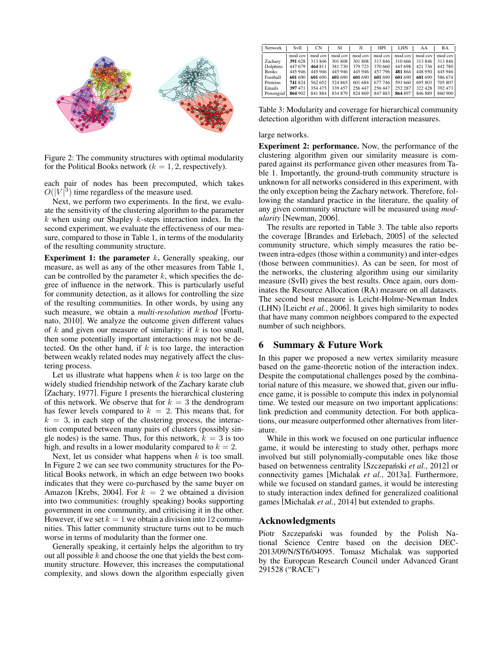

Figure 2: The community structures with optimal modularity for the Political Books network ( $k = 1, 2$ , respectively).

each pair of nodes has been precomputed, which takes  $O(|V|^3)$  time regardless of the measure used.

Next, we perform two experiments. In the first, we evaluate the sensitivity of the clustering algorithm to the parameter  $k$  when using our Shapley  $k$ -steps interaction index. In the second experiment, we evaluate the effectiveness of our measure, compared to those in Table 1, in terms of the modularity of the resulting community structure.

**Experiment 1: the parameter k.** Generally speaking, our measure, as well as any of the other measures from Table 1, can be controlled by the parameter  $k$ , which specifies the degree of influence in the network. This is particularly useful for community detection, as it allows for controlling the size of the resulting communities. In other words, by using any such measure, we obtain a *multi-resolution method* [Fortunato, 2010]. We analyze the outcome given different values of  $k$  and given our measure of similarity: if  $k$  is too small, then some potentially important interactions may not be detected. On the other hand, if  $k$  is too large, the interaction between weakly related nodes may negatively affect the clustering process.

Let us illustrate what happens when  $k$  is too large on the widely studied friendship network of the Zachary karate club [Zachary, 1977]. Figure 1 presents the hierarchical clustering of this network. We observe that for  $k = 3$  the dendrogram has fewer levels compared to  $k = 2$ . This means that, for  $k = 3$ , in each step of the clustering process, the interaction computed between many pairs of clusters (possibly single nodes) is the same. Thus, for this network,  $k = 3$  is too high, and results in a lower modularity compared to  $k = 2$ .

Next, let us consider what happens when  $k$  is too small. In Figure 2 we can see two community structures for the Political Books network, in which an edge between two books indicates that they were co-purchased by the same buyer on Amazon [Krebs, 2004]. For  $k = 2$  we obtained a division into two communities: (roughly speaking) books supporting government in one community, and criticising it in the other. However, if we set  $k = 1$  we obtain a division into 12 communities. This latter community structure turns out to be much worse in terms of modularity than the former one.

Generally speaking, it certainly helps the algorithm to try out all possible  $k$  and choose the one that yields the best community structure. However, this increases the computational complexity, and slows down the algorithm especially given

| Network      | SvII    | <b>CN</b> | SI      | Л       | <b>HPI</b> | LHN     | AA      | RA      |
|--------------|---------|-----------|---------|---------|------------|---------|---------|---------|
|              | mod cov | mod cov   | mod cov | mod cov | mod cov    | mod cov | mod cov | mod cov |
| Zacharv      | 391 628 | 313 846   | 301 808 | 301 808 | 313846     | 310 666 | 313 846 | 313 846 |
| Dolphins     | 447 679 | 464 811   | 381730  | 379 723 | 370 660    | 445 698 | 421 736 | 442 780 |
| <b>Books</b> | 445 946 | 445 946   | 445 946 | 445 946 | 457 796    | 481 864 | 448 950 | 445 946 |
| Football     | 601 690 | 601 690   | 601 690 | 601 690 | 601 690    | 601 690 | 601 690 | 586 674 |
| Proteins     | 741824  | 562 652   | 524 865 | 601 684 | 677 746    | 591 660 | 695 803 | 705 807 |
| Emails       | 397471  | 354 475   | 339 457 | 256 447 | 256 447    | 252 287 | 322 428 | 392 473 |
| Powergrid    | 864 902 | 841 884   | 834 879 | 824 869 | 847 883    | 864 897 | 846 889 | 860 900 |

Table 3: Modularity and coverage for hierarchical community detection algorithm with different interaction measures.

#### large networks.

Experiment 2: performance. Now, the performance of the clustering algorithm given our similarity measure is compared against its performance given other measures from Table 1. Importantly, the ground-truth community structure is unknown for all networks considered in this experiment, with the only exception being the Zachary network. Therefore, following the standard practice in the literature, the quality of any given community structure will be measured using *modularity* [Newman, 2006].

The results are reported in Table 3. The table also reports the coverage [Brandes and Erlebach, 2005] of the selected community structure, which simply measures the ratio between intra-edges (those within a community) and inter-edges (those between communities). As can be seen, for most of the networks, the clustering algorithm using our similarity measure (SvII) gives the best results. Once again, ours dominates the Resource Allocation (RA) measure on all datasets. The second best measure is Leicht-Holme-Newman Index (LHN) [Leicht *et al.*, 2006]. It gives high similarity to nodes that have many common neighbors compared to the expected number of such neighbors.

## 6 Summary & Future Work

In this paper we proposed a new vertex similarity measure based on the game-theoretic notion of the interaction index. Despite the computational challenges posed by the combinatorial nature of this measure, we showed that, given our influence game, it is possible to compute this index in polynomial time. We tested our measure on two important applications: link prediction and community detection. For both applications, our measure outperformed other alternatives from literature.

While in this work we focused on one particular influence game, it would be interesting to study other, perhaps more involved but still polynomially-computable ones like those based on betwenness centrality [Szczepański *et al.*, 2012] or connectivity games [Michalak *et al.*, 2013a]. Furthermore, while we focused on standard games, it would be interesting to study interaction index defined for generalized coalitional games [Michalak *et al.*, 2014] but extended to graphs.

#### Acknowledgments

Piotr Szczepański was founded by the Polish National Science Centre based on the decision DEC-2013/09/N/ST6/04095. Tomasz Michalak was supported by the European Research Council under Advanced Grant 291528 ("RACE")